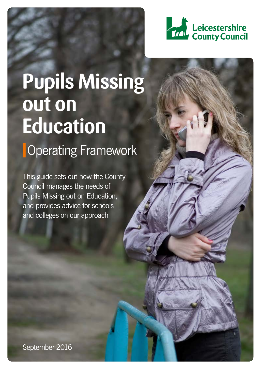

# **Pupils Missing out on Education**

**Operating Framework** 

This guide sets out how the County Council manages the needs of Pupils Missing out on Education, and provides advice for schools and colleges on our approach

September 2016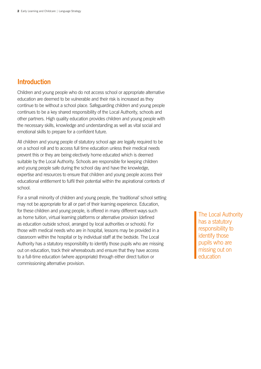## **Introduction**

Children and young people who do not access school or appropriate alternative education are deemed to be vulnerable and their risk is increased as they continue to be without a school place. Safeguarding children and young people continues to be a key shared responsibility of the Local Authority, schools and other partners. High quality education provides children and young people with the necessary skills, knowledge and understanding as well as vital social and emotional skills to prepare for a confident future.

All children and young people of statutory school age are legally required to be on a school roll and to access full time education unless their medical needs prevent this or they are being electively home educated which is deemed suitable by the Local Authority. Schools are responsible for keeping children and young people safe during the school day and have the knowledge, expertise and resources to ensure that children and young people access their educational entitlement to fulfil their potential within the aspirational contexts of school.

For a small minority of children and young people, the 'traditional' school setting may not be appropriate for all or part of their learning experience. Education, for these children and young people, is offered in many different ways such as home tuition, virtual learning platforms or alternative provision (defined as education outside school, arranged by local authorities or schools). For those with medical needs who are in hospital, lessons may be provided in a classroom within the hospital or by individual staff at the bedside. The Local Authority has a statutory responsibility to identify those pupils who are missing out on education, track their whereabouts and ensure that they have access to a full-time education (where appropriate) through either direct tuition or commissioning alternative provision.

The Local Authority has a statutory responsibility to identify those pupils who are missing out on education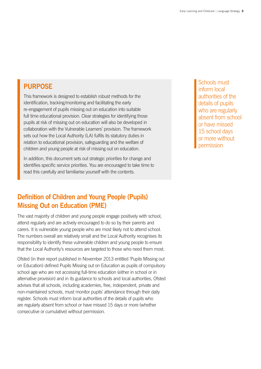# **PURPOSE**

This framework is designed to establish robust methods for the identification, tracking/monitoring and facilitating the early re-engagement of pupils missing out on education into suitable full time educational provision. Clear strategies for identifying those pupils at risk of missing out on education will also be developed in collaboration with the Vulnerable Learners' provision. The framework sets out how the Local Authority (LA) fulfils its statutory duties in relation to educational provision, safeguarding and the welfare of children and young people at risk of missing out on education.

In addition, this document sets out strategic priorities for change and identifies specific service priorities. You are encouraged to take time to read this carefully and familiarise yourself with the contents.

# **Definition of Children and Young People (Pupils) Missing Out on Education (PME)**

The vast majority of children and young people engage positively with school, attend regularly and are actively encouraged to do so by their parents and carers. It is vulnerable young people who are most likely not to attend school. The numbers overall are relatively small and the Local Authority recognises its responsibility to identify these vulnerable children and young people to ensure that the Local Authority's resources are targeted to those who need them most.

Ofsted (in their report published in November 2013 entitled 'Pupils Missing out on Education) defined Pupils Missing out on Education as pupils of compulsory school age who are not accessing full-time education (either in school or in alternative provision) and in its guidance to schools and local authorities, Ofsted advises that all schools, including academies, free, independent, private and non-maintained schools, must monitor pupils' attendance through their daily register. Schools must inform local authorities of the details of pupils who are regularly absent from school or have missed 15 days or more (whether consecutive or cumulative) without permission.

Schools must inform local authorities of the details of pupils who are regularly absent from school or have missed 15 school days or more without permission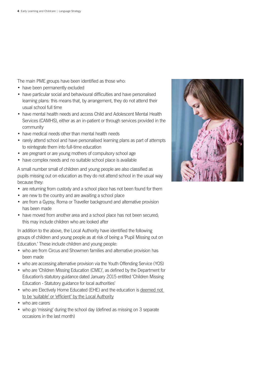The main PME groups have been identified as those who:

- have been permanently excluded
- have particular social and behavioural difficulties and have personalised learning plans: this means that, by arrangement, they do not attend their usual school full time
- have mental health needs and access Child and Adolescent Mental Health Services (CAMHS), either as an in-patient or through services provided in the community
- have medical needs other than mental health needs
- rarely attend school and have personalised learning plans as part of attempts to reintegrate them into full-time education
- are pregnant or are young mothers of compulsory school age
- have complex needs and no suitable school place is available

A small number small of children and young people are also classified as pupils missing out on education as they do not attend school in the usual way because they:

- are returning from custody and a school place has not been found for them
- are new to the country and are awaiting a school place
- are from a Gypsy, Roma or Traveller background and alternative provision has been made
- have moved from another area and a school place has not been secured; this may include children who are looked after

In addition to the above, the Local Authority have identified the following groups of children and young people as at risk of being a 'Pupil Missing out on Education.' These include children and young people:

- who are from Circus and Showmen families and alternative provision has been made
- who are accessing alternative provision via the Youth Offending Service (YOS)
- who are 'Children Missing Education (CME)', as defined by the Department for Education's statutory guidance dated January 2015 entitled 'Children Missing Education - Statutory guidance for local authorities'
- who are Electively Home Educated (EHE) and the education is deemed not to be 'suitable' or 'efficient' by the Local Authority
- who are carers
- who go 'missing' during the school day (defined as missing on 3 separate occasions in the last month)

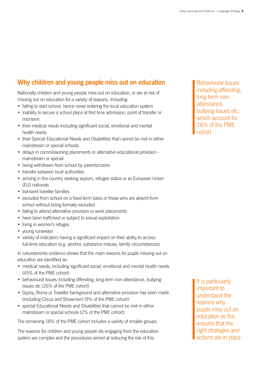# **Why children and young people miss out on education**

Nationally children and young people miss out on education, or are at risk of missing out on education for a variety of reasons, including:

- failing to start school, hence never entering the local education system
- inability to secure a school place at first time admission, point of transfer or mid-term
- their medical needs including significant social, emotional and mental health needs
- their Special Educational Needs and Disabilities that cannot be met in either mainstream or special schools
- delays in commissioning placements in alternative educational provision mainstream or special
- being withdrawn from school by parents/carers
- transfer between local authorities
- arriving in the country seeking asylum, refugee status or as European Union (EU) nationals
- transient traveller families
- excluded from school on a fixed-term basis or those who are absent from school without being formally excluded
- failing to attend alternative provision or work placements
- have been trafficked or subject to sexual exploitation
- living in women's refuges
- young runaways
- variety of indicators having a significant impact on their ability to access full-time education (e.g. alcohol, substance misuse, family circumstances)

In Leicestershire evidence shows that the main reasons for pupils missing out on education are identified as:

- medical needs, including significant social, emotional and mental health needs (45% of the PME cohort)
- behavioural issues including offending, long term non-attendance, bullying issues etc (26% of the PME cohort)
- Gypsy, Roma or Traveller background and alternative provision has been made (including Circus and Showmen) (9% of the PME cohort)
- special Educational Needs and Disabilities that cannot be met in either mainstream or special schools (2% of the PME cohort)

The remaining 18% of the PME cohort includes a variety of smaller groups.

The reasons for children and young people dis-engaging from the education system are complex and the procedures aimed at reducing the risk of this

Behavioural issues including offending, long term nonattendance, bullying issues etc, which account for 26% of the PME cohort

It is particularly important to understand the reasons why pupils miss out on education as this ensures that the right strategies and actions are in place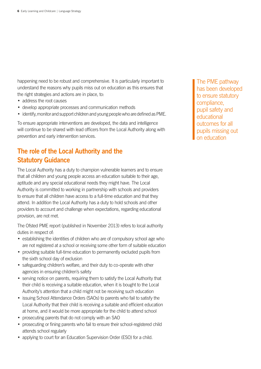happening need to be robust and comprehensive. It is particularly important to understand the reasons why pupils miss out on education as this ensures that the right strategies and actions are in place, to:

- address the root causes
- develop appropriate processes and communication methods
- identify, monitor and support children and young people who are defined as PME.

To ensure appropriate interventions are developed, the data and intelligence will continue to be shared with lead officers from the Local Authority along with prevention and early intervention services.

# **The role of the Local Authority and the Statutory Guidance**

The Local Authority has a duty to champion vulnerable learners and to ensure that all children and young people access an education suitable to their age, aptitude and any special educational needs they might have. The Local Authority is committed to working in partnership with schools and providers to ensure that all children have access to a full-time education and that they attend. In addition the Local Authority has a duty to hold schools and other providers to account and challenge when expectations, regarding educational provision, are not met.

The Ofsted PME report (published in November 2013) refers to local authority duties in respect of:

- establishing the identities of children who are of compulsory school age who are not registered at a school or receiving some other form of suitable education
- providing suitable full-time education to permanently excluded pupils from the sixth school day of exclusion
- safeguarding children's welfare, and their duty to co-operate with other agencies in ensuring children's safety
- serving notice on parents, requiring them to satisfy the Local Authority that their child is receiving a suitable education, when it is bought to the Local Authority's attention that a child might not be receiving such education
- issuing School Attendance Orders (SAOs) to parents who fail to satisfy the Local Authority that their child is receiving a suitable and efficient education at home, and it would be more appropriate for the child to attend school
- prosecuting parents that do not comply with an SAO
- prosecuting or fining parents who fail to ensure their school-registered child attends school regularly
- applying to court for an Education Supervision Order (ESO) for a child.

The PME pathway has been developed to ensure statutory compliance, pupil safety and educational outcomes for all pupils missing out on education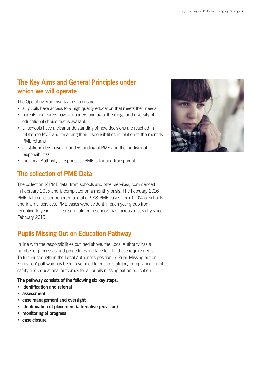# **The Key Aims and General Principles under which we will operate**

The Operating Framework aims to ensure:

- all pupils have access to a high quality education that meets their needs.
- parents and carers have an understanding of the range and diversity of educational choice that is available.
- all schools have a clear understanding of how decisions are reached in relation to PME and regarding their responsibilities in relation to the monthly PME returns
- all stakeholders have an understanding of PME and their individual responsibilities.
- the Local Authority's response to PME is fair and transparent.

# **The collection of PME Data**

The collection of PME data, from schools and other services, commenced in February 2015 and is completed on a monthly basis. The February 2016 PME data collection reported a total of 988 PME cases from 100% of schools and internal services. PME cases were evident in each year group from reception to year 11. The return rate from schools has increased steadily since February 2015.

# **Pupils Missing Out on Education Pathway**

In line with the responsibilities outlined above, the Local Authority has a number of processes and procedures in place to fulfil these requirements. To further strengthen the Local Authority's position, a 'Pupil Missing out on Education' pathway has been developed to ensure statutory compliance, pupil safety and educational outcomes for all pupils missing out on education.

#### **The pathway consists of the following six key steps:**

- **• identification and referral**
- **• assessment**
- **• case management and oversight**
- **• identification of placement (alternative provision)**
- **• monitoring of progress**
- **• case closure.**

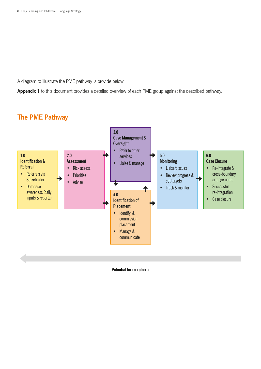A diagram to illustrate the PME pathway is provide below.

Appendix 1 to this document provides a detailed overview of each PME group against the described pathway.



# **The PME Pathway**

**Potential for re-referral**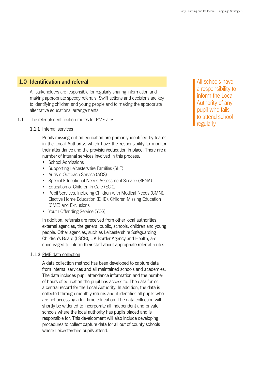### **1.0 Identification and referral**

All stakeholders are responsible for regularly sharing information and making appropriate speedy referrals. Swift actions and decisions are key to identifying children and young people and to making the appropriate alternative educational arrangements.

**1.1** The referral/identification routes for PME are:

#### **1.1.1** Internal services

Pupils missing out on education are primarily identified by teams in the Local Authority, which have the responsibility to monitor their attendance and the provision/education in place. There are a number of internal services involved in this process:

- School Admissions
- Supporting Leicestershire Families (SLF)
- Autism Outreach Service (AOS)
- Special Educational Needs Assessment Service (SENA)
- Education of Children in Care (ECiC)
- Pupil Services, including Children with Medical Needs (CMN), Elective Home Education (EHE), Children Missing Education (CME) and Exclusions
- Youth Offending Service (YOS)

In addition, referrals are received from other local authorities, external agencies, the general public, schools, children and young people. Other agencies, such as Leicestershire Safeguarding Children's Board (LSCB), UK Border Agency and Health, are encouraged to inform their staff about appropriate referral routes.

#### **1.1.2** PME data collection

A data collection method has been developed to capture data from internal services and all maintained schools and academies. The data includes pupil attendance information and the number of hours of education the pupil has access to. The data forms a central record for the Local Authority. In addition, the data is collected through monthly returns and it identifies all pupils who are not accessing a full-time education. The data collection will shortly be widened to incorporate all independent and private schools where the local authority has pupils placed and is responsible for. This development will also include developing procedures to collect capture data for all out of county schools where Leicestershire pupils attend.

All schools have a responsibility to inform the Local Authority of any pupil who fails to attend school regularly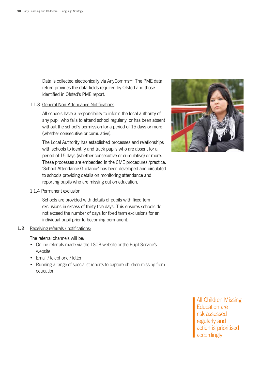Data is collected electronically via AnyComms<sup>+</sup>. The PME data return provides the data fields required by Ofsted and those identified in Ofsted's PME report.

#### 1.1.3 General Non-Attendance Notifications

All schools have a responsibility to inform the local authority of any pupil who fails to attend school regularly, or has been absent without the school's permission for a period of 15 days or more (whether consecutive or cumulative).

The Local Authority has established processes and relationships with schools to identify and track pupils who are absent for a period of 15 days (whether consecutive or cumulative) or more. These processes are embedded in the CME procedures /practice. 'School Attendance Guidance' has been developed and circulated to schools providing details on monitoring attendance and reporting pupils who are missing out on education.



#### 1.1.4 Permanent exclusion

Schools are provided with details of pupils with fixed term exclusions in excess of thirty five days. This ensures schools do not exceed the number of days for fixed term exclusions for an individual pupil prior to becoming permanent.

#### **1.2** Receiving referrals / notifications:

The referral channels will be:

- Online referrals made via the LSCB website or the Pupil Service's website
- Email / telephone / letter
- Running a range of specialist reports to capture children missing from education.

All Children Missing Education are risk assessed regularly and action is prioritised accordingly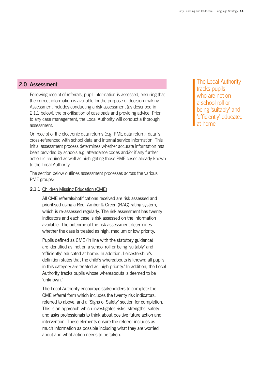#### **2.0 Assessment**

Following receipt of referrals, pupil information is assessed, ensuring that the correct information is available for the purpose of decision making. Assessment includes conducting a risk assessment (as described in 2.1.1 below), the prioritisation of caseloads and providing advice. Prior to any case management, the Local Authority will conduct a thorough assessment.

On receipt of the electronic data returns (e.g. PME data return), data is cross-referenced with school data and internal service information. This initial assessment process determines whether accurate information has been provided by schools e.g. attendance codes and/or if any further action is required as well as highlighting those PME cases already known to the Local Authority.

The section below outlines assessment processes across the various PME groups:

#### **2.1.1** Children Missing Education (CME)

All CME referrals/notifications received are risk assessed and prioritised using a Red, Amber & Green (RAG) rating system, which is re-assessed regularly. The risk assessment has twenty indicators and each case is risk assessed on the information available. The outcome of the risk assessment determines whether the case is treated as high, medium or low priority.

Pupils defined as CME (in line with the statutory guidance) are identified as 'not on a school roll or being 'suitably' and 'efficiently' educated at home. In addition, Leicestershire's definition states that the child's whereabouts is known; all pupils in this category are treated as 'high priority.' In addition, the Local Authority tracks pupils whose whereabouts is deemed to be 'unknown.'

The Local Authority encourage stakeholders to complete the CME referral form which includes the twenty risk indicators, referred to above, and a 'Signs of Safety' section for completion. This is an approach which investigates risks, strengths, safety and asks professionals to think about positive future action and intervention. These elements ensure the referrer includes as much information as possible including what they are worried about and what action needs to be taken.

The Local Authority tracks pupils who are not on a school roll or being 'suitably' and 'efficiently' educated at home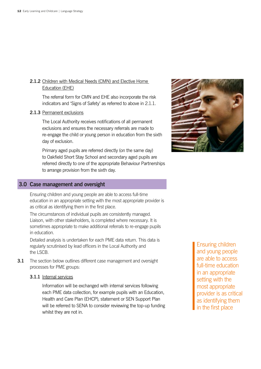#### **2.1.2** Children with Medical Needs (CMN) and Elective Home Education (EHE)

The referral form for CMN and EHE also incorporate the risk indicators and 'Signs of Safety' as referred to above in 2.1.1.

**2.1.3** Permanent exclusions

The Local Authority receives notifications of all permanent exclusions and ensures the necessary referrals are made to re-engage the child or young person in education from the sixth day of exclusion.

Primary aged pupils are referred directly (on the same day) to Oakfield Short Stay School and secondary aged pupils are referred directly to one of the appropriate Behaviour Partnerships to arrange provision from the sixth day.

#### **3.0 Case management and oversight**

Ensuring children and young people are able to access full-time education in an appropriate setting with the most appropriate provider is as critical as identifying them in the first place.

The circumstances of individual pupils are consistently managed. Liaison, with other stakeholders, is completed where necessary. It is sometimes appropriate to make additional referrals to re-engage pupils in education.

Detailed analysis is undertaken for each PME data return. This data is regularly scrutinised by lead officers in the Local Authority and the LSCB.

- **3.1** The section below outlines different case management and oversight processes for PME groups:
	- **3.1.1** Internal services

Information will be exchanged with internal services following each PME data collection, for example pupils with an Education, Health and Care Plan (EHCP), statement or SEN Support Plan will be referred to SENA to consider reviewing the top-up funding whilst they are not in.



Ensuring children and young people are able to access full-time education in an appropriate setting with the most appropriate provider is as critical as identifying them in the first place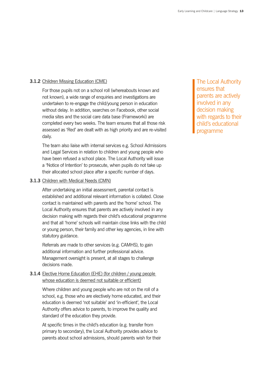#### **3.1.2** Children Missing Education (CME)

For those pupils not on a school roll (whereabouts known and not known), a wide range of enquiries and investigations are undertaken to re-engage the child/young person in education without delay. In addition, searches on Facebook, other social media sites and the social care data base (Frameworki) are completed every two weeks. The team ensures that all those risk assessed as 'Red' are dealt with as high priority and are re-visited daily.

The team also liaise with internal services e.g. School Admissions and Legal Services in relation to children and young people who have been refused a school place. The Local Authority will issue a 'Notice of Intention' to prosecute, when pupils do not take up their allocated school place after a specific number of days.

#### **3.1.3** Children with Medical Needs (CMN)

After undertaking an initial assessment, parental contact is established and additional relevant information is collated. Close contact is maintained with parents and the 'home' school. The Local Authority ensures that parents are actively involved in any decision making with regards their child's educational programme and that all 'home' schools will maintain close links with the child or young person, their family and other key agencies, in line with statutory guidance.

Referrals are made to other services (e.g. CAMHS), to gain additional information and further professional advice. Management oversight is present, at all stages to challenge decisions made.

#### **3.1.4** Elective Home Education (EHE) (for children / young people whose education is deemed not suitable or efficient)

Where children and young people who are not on the roll of a school, e.g. those who are electively home educated, and their education is deemed 'not suitable' and 'in-efficient', the Local Authority offers advice to parents, to improve the quality and standard of the education they provide.

At specific times in the child's education (e.g. transfer from primary to secondary), the Local Authority provides advice to parents about school admissions, should parents wish for their

The Local Authority ensures that parents are actively involved in any decision making with regards to their child's educational programme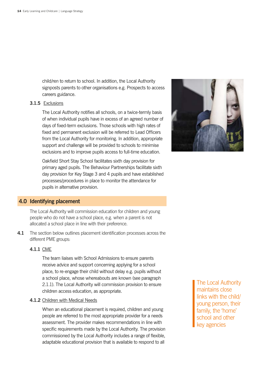child/ren to return to school. In addition, the Local Authority signposts parents to other organisations e.g. Prospects to access careers guidance.

#### **3.1.5** Exclusions

The Local Authority notifies all schools, on a twice-termly basis of when individual pupils have in excess of an agreed number of days of fixed-term exclusions. Those schools with high rates of fixed and permanent exclusion will be referred to Lead Officers from the Local Authority for monitoring. In addition, appropriate support and challenge will be provided to schools to minimise exclusions and to improve pupils access to full-time education.

Oakfield Short Stay School facilitates sixth day provision for primary aged pupils. The Behaviour Partnerships facilitate sixth day provision for Key Stage 3 and 4 pupils and have established processes/procedures in place to monitor the attendance for pupils in alternative provision.

#### **4.0 Identifying placement**

The Local Authority will commission education for children and young people who do not have a school place, e.g. when a parent is not allocated a school place in line with their preference.

**4.1** The section below outlines placement identification processes across the different PME groups:

#### **4.1.1** CME

The team liaises with School Admissions to ensure parents receive advice and support concerning applying for a school place, to re-engage their child without delay e.g. pupils without a school place, whose whereabouts are known (see paragraph 2.1.1). The Local Authority will commission provision to ensure children access education, as appropriate.

#### **4.1.2** Children with Medical Needs

When an educational placement is required, children and young people are referred to the most appropriate provider for a needs assessment. The provider makes recommendations in line with specific requirements made by the Local Authority. The provision commissioned by the Local Authority includes a range of flexible, adaptable educational provision that is available to respond to all

The Local Authority maintains close links with the child/ young person, their family, the 'home' school and other key agencies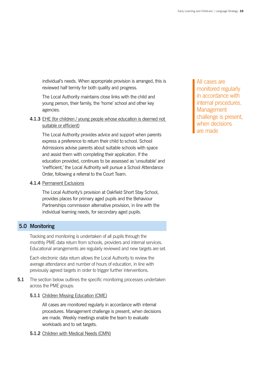individual's needs. When appropriate provision is arranged, this is reviewed half termly for both quality and progress.

The Local Authority maintains close links with the child and young person, their family, the 'home' school and other key agencies.

**4.1.3** EHE (for children / young people whose education is deemed not suitable or efficient)

The Local Authority provides advice and support when parents express a preference to return their child to school. School Admissions advise parents about suitable schools with space and assist them with completing their application. If the education provided, continues to be assessed as 'unsuitable' and 'inefficient,' the Local Authority will pursue a School Attendance Order, following a referral to the Court Team.

#### **4.1.4** Permanent Exclusions

The Local Authority's provision at Oakfield Short Stay School, provides places for primary aged pupils and the Behaviour Partnerships commission alternative provision, in line with the individual learning needs, for secondary aged pupils.

#### **5.0 Monitoring**

Tracking and monitoring is undertaken of all pupils through the monthly PME data return from schools, providers and internal services. Educational arrangements are regularly reviewed and new targets are set.

Each electronic data return allows the Local Authority to review the average attendance and number of hours of education, in line with previously agreed targets in order to trigger further interventions.

- **5.1** The section below outlines the specific monitoring processes undertaken across the PME groups:
	- **5.1.1** Children Missing Education (CME)

All cases are monitored regularly in accordance with internal procedures. Management challenge is present, when decisions are made. Weekly meetings enable the team to evaluate workloads and to set targets.

**5.1.2** Children with Medical Needs (CMN)

All cases are monitored regularly in accordance with internal procedures. **Management** challenge is present, when decisions are made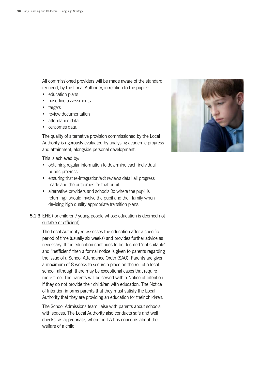All commissioned providers will be made aware of the standard required, by the Local Authority, in relation to the pupil's:

- education plans
- base-line assessments
- **targets**
- review documentation
- attendance data
- outcomes data.

The quality of alternative provision commissioned by the Local Authority is rigorously evaluated by analysing academic progress and attainment, alongside personal development.

This is achieved by:

- obtaining regular information to determine each individual pupil's progress
- ensuring that re-integration/exit reviews detail all progress made and the outcomes for that pupil
- alternative providers and schools (to where the pupil is returning), should involve the pupil and their family when devising high quality appropriate transition plans.

#### **5.1.3** EHE (for children / young people whose education is deemed not suitable or efficient)

The Local Authority re-assesses the education after a specific period of time (usually six weeks) and provides further advice as necessary. If the education continues to be deemed 'not suitable' and 'inefficient' then a formal notice is given to parents regarding the issue of a School Attendance Order (SAO). Parents are given a maximum of 8 weeks to secure a place on the roll of a local school, although there may be exceptional cases that require more time. The parents will be served with a Notice of Intention if they do not provide their child/ren with education. The Notice of Intention informs parents that they must satisfy the Local Authority that they are providing an education for their child/ren.

The School Admissions team liaise with parents about schools with spaces. The Local Authority also conducts safe and well checks, as appropriate, when the LA has concerns about the welfare of a child.

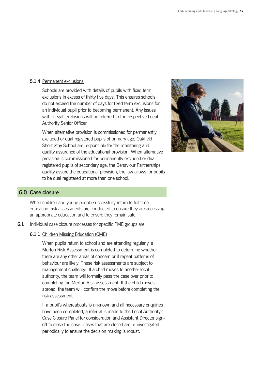#### **5.1.4** Permanent exclusions

Schools are provided with details of pupils with fixed term exclusions in excess of thirty five days. This ensures schools do not exceed the number of days for fixed term exclusions for an individual pupil prior to becoming permanent. Any issues with 'illegal' exclusions will be referred to the respective Local Authority Senior Officer.

When alternative provision is commissioned for permanently excluded or dual registered pupils of primary age, Oakfield Short Stay School are responsible for the monitoring and quality assurance of the educational provision. When alternative provision is commissioned for permanently excluded or dual registered pupils of secondary age, the Behaviour Partnerships quality assure the educational provision, the law allows for pupils to be dual registered at more than one school.



#### **6.0 Case closure**

When children and young people successfully return to full time education, risk assessments are conducted to ensure they are accessing an appropriate education and to ensure they remain safe.

**6.1** Individual case closure processes for specific PME groups are:

#### **6.1.1** Children Missing Education (CME)

When pupils return to school and are attending regularly, a Merton Risk Assessment is completed to determine whether there are any other areas of concern or if repeat patterns of behaviour are likely. These risk assessments are subject to management challenge. If a child moves to another local authority, the team will formally pass the case over prior to completing the Merton Risk assessment. If the child moves abroad, the team will confirm the move before completing the risk assessment.

If a pupil's whereabouts is unknown and all necessary enquiries have been completed, a referral is made to the Local Authority's Case Closure Panel for consideration and Assistant Director signoff to close the case. Cases that are closed are re-investigated periodically to ensure the decision making is robust.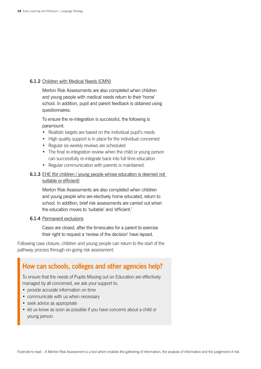#### **6.1.2** Children with Medical Needs (CMN)

Merton Risk Assessments are also completed when children and young people with medical needs return to their 'home' school. In addition, pupil and parent feedback is obtained using questionnaires.

To ensure the re-integration is successful, the following is paramount:

- Realistic targets are based on the individual pupil's needs
- High quality support is in place for the individual concerned
- Regular six weekly reviews are scheduled
- The final re-integration review when the child or young person can successfully re-integrate back into full time education
- Regular communication with parents is maintained.
- **6.1.3** EHE (for children / young people whose education is deemed not suitable or efficient)

Merton Risk Assessments are also completed when children and young people who are electively home educated, return to school. In addition, brief risk assessments are carried out when the education moves to 'suitable' and 'efficient.'

#### **6.1.4** Permanent exclusions

Cases are closed, after the timescales for a parent to exercise their right to request a 'review of the decision' have lapsed.

Following case closure, children and young people can return to the start of the pathway process through on-going risk assessment.

# **How can schools, colleges and other agencies help?**

To ensure that the needs of Pupils Missing out on Education are effectively managed by all concerned, we ask your support to:

- provide accurate information on time
- communicate with us when necessary
- seek advice as appropriate
- let us know as soon as possible if you have concerns about a child or young person.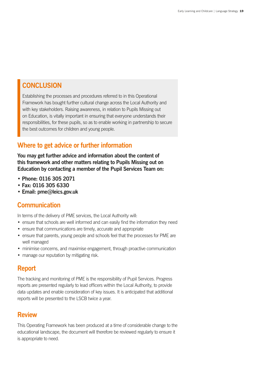# **CONCLUSION**

Establishing the processes and procedures referred to in this Operational Framework has bought further cultural change across the Local Authority and with key stakeholders. Raising awareness, in relation to Pupils Missing out on Education, is vitally important in ensuring that everyone understands their responsibilities, for these pupils, so as to enable working in partnership to secure the best outcomes for children and young people.

# **Where to get advice or further information**

**You may get further advice and information about the content of this framework and other matters relating to Pupils Missing out on Education by contacting a member of the Pupil Services Team on:**

- **Phone: 0116 305 2071**
- **Fax: 0116 305 6330**
- **Email: pme@leics.gov.uk**

# **Communication**

In terms of the delivery of PME services, the Local Authority will:

- ensure that schools are well informed and can easily find the information they need
- ensure that communications are timely, accurate and appropriate
- ensure that parents, young people and schools feel that the processes for PME are well managed
- minimise concerns, and maximise engagement, through proactive communication
- manage our reputation by mitigating risk.

# **Report**

The tracking and monitoring of PME is the responsibility of Pupil Services. Progress reports are presented regularly to lead officers within the Local Authority, to provide data updates and enable consideration of key issues. It is anticipated that additional reports will be presented to the LSCB twice a year.

# **Review**

This Operating Framework has been produced at a time of considerable change to the educational landscape, the document will therefore be reviewed regularly to ensure it is appropriate to need.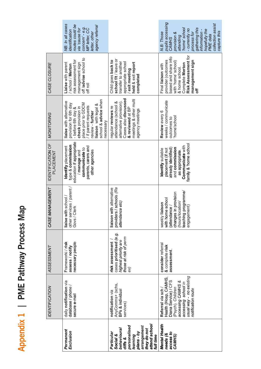| ONE D |  |
|-------|--|
|       |  |

|                                                                                                                                                      | IDENTIFICATION                                                                                                                                                                            | <b>ASSESSMENT</b>                                                                                                     | MANAGEMENT<br>CASE                                                                                                                   | IDENTIFICATION OF<br>PLACEMENT                                                                                                                  | <b>MONITORING</b>                                                                                                                                                                                                            | CASE CLOSURE                                                                                                                                                                  |                                                                                                                                                                                                                          |
|------------------------------------------------------------------------------------------------------------------------------------------------------|-------------------------------------------------------------------------------------------------------------------------------------------------------------------------------------------|-----------------------------------------------------------------------------------------------------------------------|--------------------------------------------------------------------------------------------------------------------------------------|-------------------------------------------------------------------------------------------------------------------------------------------------|------------------------------------------------------------------------------------------------------------------------------------------------------------------------------------------------------------------------------|-------------------------------------------------------------------------------------------------------------------------------------------------------------------------------|--------------------------------------------------------------------------------------------------------------------------------------------------------------------------------------------------------------------------|
| Permanent<br>Exclusion                                                                                                                               | daily notification via<br>database / phone<br>secure e-mail                                                                                                                               | necessary people<br>Frameworki / risk<br>assess / notify                                                              | other services / parent /<br>with school<br>Govs / Clerk<br>liaise                                                                   | education if appropriate<br>type & commission<br>parents, carers and<br>Identify placement<br>communicate to<br>other agencies<br>/ manage and  | school & advice when<br>liaise with alternative<br>place prior to GDCM<br>provision for 6th day<br>liaison with legal &<br>/ if parent requests<br>check provision in<br>- before 6th day &<br>review - further<br>necessary | off/advise school to<br>risk assessment for<br>management sign<br>Liaise with parent<br>school / Merton<br>off roll                                                           | NB: In all cases<br>routes could be<br>agency referral<br>concern' - e.g.<br>MP letter, CC<br>via cause for<br>dentification<br>letter, other                                                                            |
| attend school<br>personalised<br>arrangement<br>they do not<br>behavioural<br>plans-by<br>Particular<br>jearning<br>Social &<br>full time<br>diffs & | AnyComms+ (schs,<br>BPs & individual<br>notification via<br>services)                                                                                                                     | e.g.<br>those at risk of perm<br>highest priority are<br>cases prioritised<br>risk assessment<br>$\widetilde{\kappa}$ | providers / schools (Re<br>liaison with alternative<br>attendance etc)                                                               |                                                                                                                                                 | Cases also discussed<br>meetings & other multi<br>attendance (school &<br>alternative provision)<br>regular reviews re<br>& reviewed at BP<br>agency meetings                                                                | school f/t / leave or<br>Child goes back to<br>appropriate school<br>transfer to another<br>held & exit report<br>exit meeting<br>completed                                   |                                                                                                                                                                                                                          |
| <b>Mental Health</b><br>access to<br>needs (&<br>CAMHS)                                                                                              | usual way - no existing<br>Health (Hosp, CAMHS,<br>Diana Service) / CFS<br>(Psych). <i>Children</i><br>accessing CAMHS &<br>accessing school in<br>Referral via sch<br>notification route | consider referral<br>& complete risk<br>assessment.                                                                   | teaching programme/<br>changes in provision<br>with home school<br>(hours/location/<br>weekly liaison<br>(attendance/<br>engagement) | family & 'home school<br>Communicate with<br>already identified)<br>and commission<br>placement (if not<br>Identify suitable<br>as appropriate. | weeks / communicate<br>Review every 6<br>home'school<br>outcomes to                                                                                                                                                          | Risk Assessment for<br>based and share info<br>provider (outcomes<br>management sign<br>with 'home' school)<br>Complete Merton<br>Final liaison with<br>& home school.<br>öff | pupils accessing<br>collection assist<br>home'school<br>gathering this<br>- currently no<br>hopefully the<br>information -<br>capture this<br>process for<br>N.B: Those<br>provision &<br>PME data<br>attending<br>CAMHS |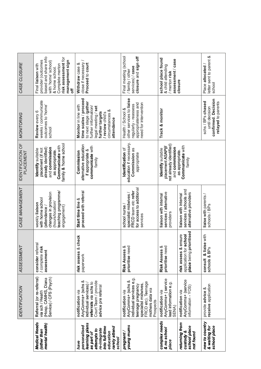| CASE CLOSURE                   | based and share info<br>risk assessment for<br>provider (outcomes<br>management sign<br>with 'home' school)<br>Final liaison with<br>Complete merton<br>& home school<br>ð | close if necessary<br>Proceed to court<br>Withdraw case &                                                                                                                                   | Final meeting (school<br>closure and sign off<br>services) / case<br>/ family / other                                                                               | school place found<br>assessment / case<br>& child attending<br>/ merton risk       | closure                                                                         | letter sent to parent &<br>Place allocated<br>school                             |
|--------------------------------|----------------------------------------------------------------------------------------------------------------------------------------------------------------------------|---------------------------------------------------------------------------------------------------------------------------------------------------------------------------------------------|---------------------------------------------------------------------------------------------------------------------------------------------------------------------|-------------------------------------------------------------------------------------|---------------------------------------------------------------------------------|----------------------------------------------------------------------------------|
| <b>MONITORING</b>              | weeks / communicate<br>boutcomes to 'home'<br>Review every 6<br>school                                                                                                     | time scales / proceed<br>to next stage /gather<br>Monitor in line with<br>further information/<br>legal meeting / set<br>circumstances &<br>further targets<br>review child's<br>attendance | other services to liaise<br>appropriateness and<br>need for intervention<br>regularly - reassess<br>Health / School &                                               | Track & monitor                                                                     |                                                                                 | confirmed. Decision<br>schs / BPs chased<br>relayed to parents<br>until decision |
| IDENTIFICATION OF<br>PLACEMENT | family & 'home school<br>Communicate with<br>already identified)<br>and commission<br>placement (if not<br>Identify suitable<br>as appropriate.                            | alternative education<br>communicate with<br>if appropriate &<br>Commission<br>family                                                                                                       | education if necessary.<br>Identification of<br>Commission as<br>appropriate                                                                                        | not already identified)<br>placement ASAP(if<br>and commission<br>Identify suitable | Communicate with<br>as appropriate<br>family                                    |                                                                                  |
| CASE MANAGEMENT                | teaching programme/<br>changes in provision<br>with home school<br>(hours/location/<br>weekly liaison<br>engagement)<br>attendance/                                        | proceed with referral<br>Start time line &                                                                                                                                                  | for access to additional<br>FRCD team etc refer<br>specialist midwives /<br>school nurse<br>services                                                                | services / alternative<br>liaison with internal<br>providers                        | services / schools and<br>alternative providers<br>liaison with internal        | liaise with parents /<br>schools / BPs                                           |
| ASSESSMENT                     | consider referral<br>/ complete risk<br>assessment                                                                                                                         | & check<br>risk assess<br>paperwork                                                                                                                                                         | Risk Assess &<br>prioritise need                                                                                                                                    | Risk Assess &<br>prioritise need                                                    | prioritised<br>& ensure<br>application for school<br>risk assess<br>place being | & liaise with<br>schools & BPs<br>consult                                        |
| IDENTIFICATION                 | Referral (or re-referral)<br>Service) / CFS (Psych)<br>(Hosp, CAMHS, Diana<br>via sch / Health                                                                             | AnyComms+ (schs &<br>Court Team / provide<br>referrals via schs to<br>individual services)<br>advice pre referral<br>notification via                                                       | individual services e.g<br>AnyComms+ (schs &<br>FRCD etc). Teenage<br>specialist midwives<br>teenage pregnancy<br>mothers data via<br>notification via<br>Prospects | AnyComms+ (service<br>lead information e.g<br>notification via<br>SENA)             | AnyComms+ (service<br>information - YOS)<br>notification via                    | receive application<br>provide advice &                                          |
|                                | <b>Medical Needs</b><br>mental health)<br>(other than                                                                                                                      | learning plans<br>personalised<br>into full-time<br>rarely attend<br>re-integrate<br>attempts to<br>education<br>as part of<br>school<br>have                                               | young mums<br>pregnant                                                                                                                                              | complex needs<br>& no school<br>place                                               | returning from<br>school place<br>custody &<br>not found                        | new to country<br>& waiting for<br>school place                                  |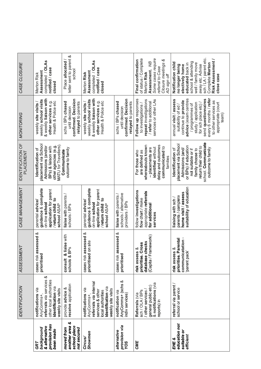| CASE CLOSURE                   | completed / OLAs<br>notified / case<br>Assessment<br>Merton Risk<br>closed                                                             | letter sent to parent &<br>Place allocated<br>school                             | completed / OLAs<br>notified / case<br>Assessment<br>Merton Risk<br>closed                                                                    |                                                                                  | Some cases require<br>of status / Complete<br>Final confirmation<br>Closure meetings &<br>Assessment. NB<br>referral to Case<br>Merton Risk<br>AD sign off | sch / LA / parent etc.<br>Risk Assessment /<br>school & attending<br>Notification child<br>Complete Merton<br>well / family move<br>educated back in<br>no longer being<br>electively home<br>away etc. Advise<br>close case                                          |
|--------------------------------|----------------------------------------------------------------------------------------------------------------------------------------|----------------------------------------------------------------------------------|-----------------------------------------------------------------------------------------------------------------------------------------------|----------------------------------------------------------------------------------|------------------------------------------------------------------------------------------------------------------------------------------------------------|-----------------------------------------------------------------------------------------------------------------------------------------------------------------------------------------------------------------------------------------------------------------------|
| <b>MONITORING</b>              | & weekly liaison with<br>weekly school visits<br>other services e.g.<br>Health & Police etc<br>weekly site visits /                    | confirmed. Decision<br>schs / BPs chased<br>relayed to parents<br>until decision | & weekly liaison with<br>weekly school visits<br>other services e.g.<br>Health & Police etc<br>weekly site visits /                           | confirmed. Decision<br>schs / BPs chased<br>relayed to parents<br>until decision | Follow up responses<br>repeat investigations<br>services or other LAs<br>/ refer to additional<br>to investigations /                                      | every 6 months / refer<br>advice (exam centres<br>send questionnaires<br>annual visit / assess<br>continue to provide<br>to other services as<br>for sch place etc) /<br>study / application<br>appropriate (court<br>suitability of ed /<br>/ programmes of<br>team) |
| IDENTIFICATION OF<br>PLACEMENT | placement via School<br>MATU for Travellers)<br>Admissions (and/or<br>other agencies (e.g.<br>BPs) & liaison with<br>Identification of | outcome to family<br>Communicate                                                 |                                                                                                                                               |                                                                                  | delay and outcomes<br>whereabouts known<br>communicated to<br>identified without<br>- placements are<br>For those who<br>are defined as<br>families        | school. Communicate<br>placement via School<br>or BPs) if education<br>return their child to<br>Admissions (and/<br>outcome to family<br>Identification of<br>family choose to<br>not suitable or if                                                                  |
| CASE MANAGEMENT                | guidance & complete<br>application for parent<br>/ return child to<br>parental advice/<br>on-line school<br>school ASAP                | liaise with parents /<br>schools / BPs                                           | guidance & complete<br>application for parent<br>/ return child to<br>parental advice/<br>on-line school<br>school ASAP                       | schools / alternative<br>liaise with parents /<br>providers / BPs                | follow investigations<br>appropriate referrals<br>flow chart / make<br>for additional<br>services                                                          | suitability of education<br>home visit / assess<br>parents / complete<br>liaising with sch                                                                                                                                                                            |
| ASSESSMENT                     | cases risk assessed &<br>prioritised                                                                                                   | & liaise with<br>w<br>consult & lia<br>schools & BPs                             | sessed &<br>prioritised on site<br>cases risk as                                                                                              | sessed &<br>cases risk as<br>prioritised                                         | (Capita / Frameworki)<br>database checks<br>prioritise. Cross<br>∞<br>risk assess                                                                          | communicatation-<br>prioritise. Parental<br>∞<br>parent pack'<br>risk assess                                                                                                                                                                                          |
| IDENTIFICATION                 | య<br>referrals via services<br>other local authorities<br>identification via<br>notifications via<br>weekly site visits<br>AnyComms+   | provide advice &<br>receive application                                          | referrals via internal<br>identification via<br>notifications via<br>weekly site visits<br>services & other<br>local authorities<br>AnyComms+ | AnyComms+ (schs &<br>notification via<br>indiv services)                         | general public etc)<br>& notifications (via<br>/ other services<br>sch / OLA/BPs<br>Referrals (via<br>reports) in                                          | referral via parent<br>school or service                                                                                                                                                                                                                              |
|                                | provision has<br>& alternative<br>background<br>been made<br>GRT                                                                       | ళ<br>another area<br>school place<br>not secured<br>moved from                   | Showmen<br><b>Circus/</b>                                                                                                                     | provision via<br>alternative<br>SOA                                              | CME                                                                                                                                                        | education not<br>suitable or<br>efficient<br>EHE &                                                                                                                                                                                                                    |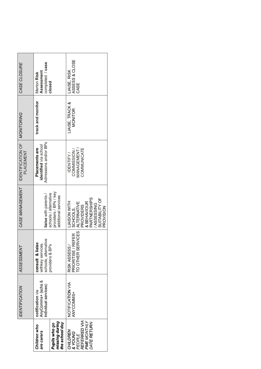|                                                   | IDENTIFICATION                                                | ASSESSMENT                                                    | CASE MANAGEMENT                                                       | IDENTIFICATION OF MONITORING<br>PLACEMENT                        |                                   | CASE CLOSURE                                  |
|---------------------------------------------------|---------------------------------------------------------------|---------------------------------------------------------------|-----------------------------------------------------------------------|------------------------------------------------------------------|-----------------------------------|-----------------------------------------------|
| Children who<br>are carers                        | AnyComms+ (schs &<br>individual services)<br>notification via | schools, alternative<br>consult & liaise<br>withkey services, | liaise with parents /                                                 | Admissions and/or BPs<br>identified via school<br>Placements are | track and monitor                 | completed / case<br>Assessment<br>Merton Risk |
| missing during<br>the school day<br>Pupils who go |                                                               | providers & BPs                                               | providers / BPs / key<br>schools / alternative<br>additional services |                                                                  |                                   | closed                                        |
| CHILDREN<br>& YOUNG<br>PEOPLE                     | NOTIFICATION<br>VIA<br>ANYCOMMS+                              | TO OTHER SERVICES<br>PRIORITISE / REFER<br>RISK ASSESS        | <b>HIMN NOSIAL</b><br><b>ALTERNATIVE</b><br>SCHOOLS.                  | <b><i>MANAGEMENT/</i></b><br>COMMISSION/<br>IDENTIFY/            | LIAISE, TRACK &<br><b>MONITOR</b> | ASSESS & CLOSE<br>LIAISE, RISK<br>CASE        |
| REFERRED VIA<br><b>PME MONTHLY</b><br>DATE RETURN |                                                               |                                                               | PARTNERSHIPS<br>& BEHAVIOUR<br><b>PROVIDERS</b>                       | COMMUNICATE                                                      |                                   |                                               |
|                                                   |                                                               |                                                               | SUITABILITY OF<br>/ASSESSING<br>PROVISION                             |                                                                  |                                   |                                               |
|                                                   |                                                               |                                                               |                                                                       |                                                                  |                                   |                                               |